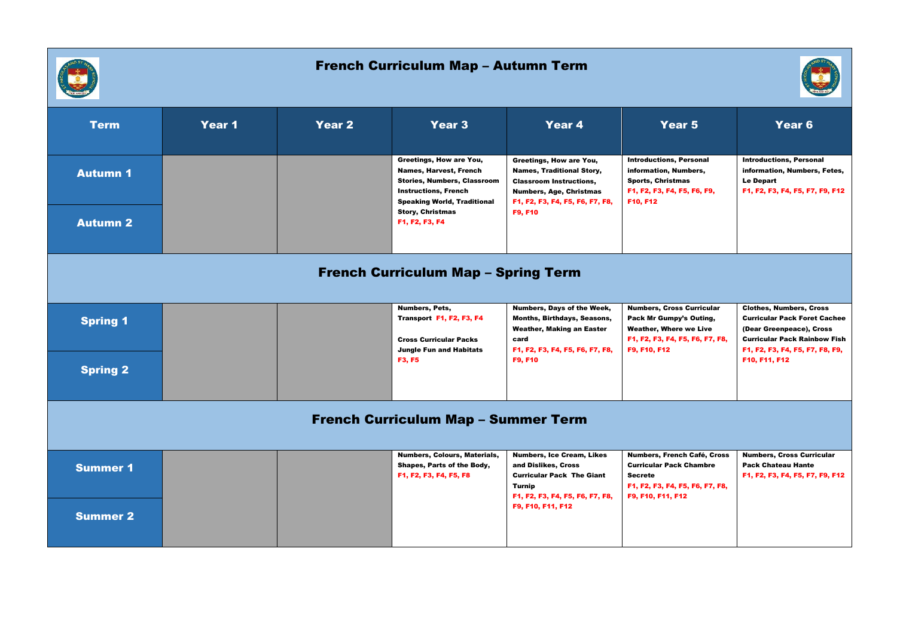

## French Curriculum Map – Autumn Term



| <b>Term</b>                                | Year 1 | Year 2                                                                               | Year 3                                                                                                                                                       | Year 4                                                                                                                                                             | Year 5                                                                                                                                          | Year 6                                                                                                                                                                      |
|--------------------------------------------|--------|--------------------------------------------------------------------------------------|--------------------------------------------------------------------------------------------------------------------------------------------------------------|--------------------------------------------------------------------------------------------------------------------------------------------------------------------|-------------------------------------------------------------------------------------------------------------------------------------------------|-----------------------------------------------------------------------------------------------------------------------------------------------------------------------------|
| <b>Autumn 1</b>                            |        |                                                                                      | Greetings, How are You,<br>Names, Harvest, French<br><b>Stories, Numbers, Classroom</b><br><b>Instructions, French</b><br><b>Speaking World, Traditional</b> | Greetings, How are You,<br><b>Names, Traditional Story,</b><br><b>Classroom Instructions,</b><br><b>Numbers, Age, Christmas</b><br>F1, F2, F3, F4, F5, F6, F7, F8, | <b>Introductions, Personal</b><br>information, Numbers,<br><b>Sports, Christmas</b><br>F1, F2, F3, F4, F5, F6, F9,<br>F10, F12                  | <b>Introductions, Personal</b><br>information, Numbers, Fetes,<br><b>Le Depart</b><br>F1, F2, F3, F4, F5, F7, F9, F12                                                       |
| <b>Autumn 2</b>                            |        |                                                                                      | <b>Story, Christmas</b><br>F1, F2, F3, F4                                                                                                                    | F9, F10                                                                                                                                                            |                                                                                                                                                 |                                                                                                                                                                             |
| <b>French Curriculum Map - Spring Term</b> |        |                                                                                      |                                                                                                                                                              |                                                                                                                                                                    |                                                                                                                                                 |                                                                                                                                                                             |
| <b>Spring 1</b>                            |        |                                                                                      | Numbers, Pets,<br>Transport F1, F2, F3, F4<br><b>Cross Curricular Packs</b><br><b>Jungle Fun and Habitats</b>                                                | Numbers, Days of the Week,<br>Months, Birthdays, Seasons,<br><b>Weather, Making an Easter</b><br>card<br>F1, F2, F3, F4, F5, F6, F7, F8,                           | <b>Numbers, Cross Curricular</b><br>Pack Mr Gumpy's Outing,<br><b>Weather, Where we Live</b><br>F1, F2, F3, F4, F5, F6, F7, F8,<br>F9, F10, F12 | <b>Clothes, Numbers, Cross</b><br><b>Curricular Pack Foret Cachee</b><br>(Dear Greenpeace), Cross<br><b>Curricular Pack Rainbow Fish</b><br>F1, F2, F3, F4, F5, F7, F8, F9, |
| <b>Spring 2</b>                            |        |                                                                                      | F3, F5                                                                                                                                                       | F9, F10                                                                                                                                                            |                                                                                                                                                 | F10, F11, F12                                                                                                                                                               |
| <b>French Curriculum Map - Summer Term</b> |        |                                                                                      |                                                                                                                                                              |                                                                                                                                                                    |                                                                                                                                                 |                                                                                                                                                                             |
| <b>Summer 1</b>                            |        | Numbers, Colours, Materials,<br>Shapes, Parts of the Body,<br>F1, F2, F3, F4, F5, F8 | <b>Numbers, Ice Cream, Likes</b><br>and Dislikes, Cross<br><b>Curricular Pack The Giant</b><br><b>Turnip</b><br>F1, F2, F3, F4, F5, F6, F7, F8,              | Numbers, French Café, Cross<br><b>Curricular Pack Chambre</b><br><b>Secrete</b><br>F1, F2, F3, F4, F5, F6, F7, F8,<br>F9, F10, F11, F12                            | <b>Numbers, Cross Curricular</b><br><b>Pack Chateau Hante</b><br>F1, F2, F3, F4, F5, F7, F9, F12                                                |                                                                                                                                                                             |
| <b>Summer 2</b>                            |        |                                                                                      |                                                                                                                                                              | F9, F10, F11, F12                                                                                                                                                  |                                                                                                                                                 |                                                                                                                                                                             |